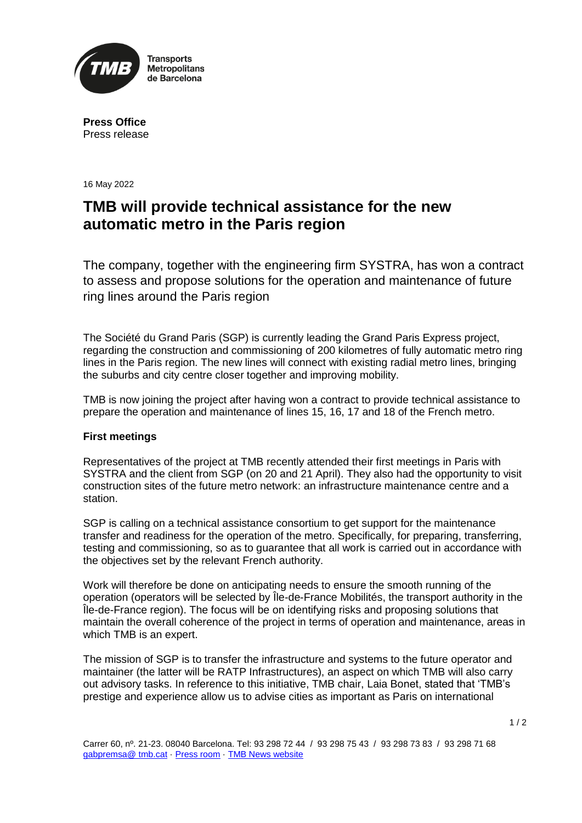

**Press Office** Press release

16 May 2022

## **TMB will provide technical assistance for the new automatic metro in the Paris region**

The company, together with the engineering firm SYSTRA, has won a contract to assess and propose solutions for the operation and maintenance of future ring lines around the Paris region

The Société du Grand Paris (SGP) is currently leading the Grand Paris Express project, regarding the construction and commissioning of 200 kilometres of fully automatic metro ring lines in the Paris region. The new lines will connect with existing radial metro lines, bringing the suburbs and city centre closer together and improving mobility.

TMB is now joining the project after having won a contract to provide technical assistance to prepare the operation and maintenance of lines 15, 16, 17 and 18 of the French metro.

## **First meetings**

Representatives of the project at TMB recently attended their first meetings in Paris with SYSTRA and the client from SGP (on 20 and 21 April). They also had the opportunity to visit construction sites of the future metro network: an infrastructure maintenance centre and a station.

SGP is calling on a technical assistance consortium to get support for the maintenance transfer and readiness for the operation of the metro. Specifically, for preparing, transferring, testing and commissioning, so as to guarantee that all work is carried out in accordance with the objectives set by the relevant French authority.

Work will therefore be done on anticipating needs to ensure the smooth running of the operation (operators will be selected by Île-de-France Mobilités, the transport authority in the Île-de-France region). The focus will be on identifying risks and proposing solutions that maintain the overall coherence of the project in terms of operation and maintenance, areas in which TMB is an expert.

The mission of SGP is to transfer the infrastructure and systems to the future operator and maintainer (the latter will be RATP Infrastructures), an aspect on which TMB will also carry out advisory tasks. In reference to this initiative, TMB chair, Laia Bonet, stated that 'TMB's prestige and experience allow us to advise cities as important as Paris on international